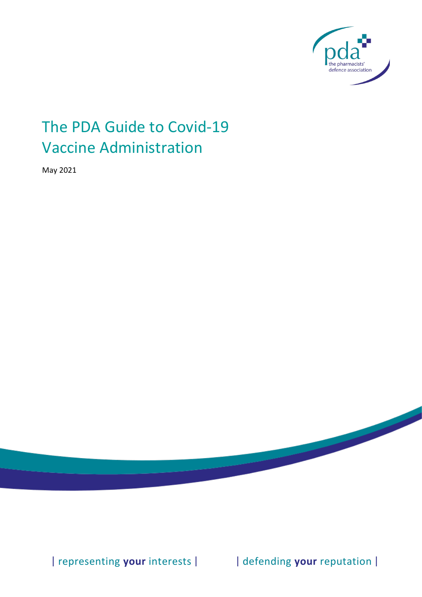

# The PDA Guide to Covid-19 **Vaccine Administration**

May 2021

| representing your interests |

| defending your reputation |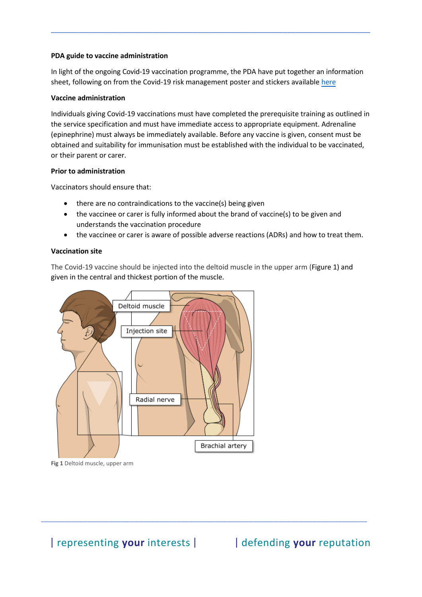### **PDA guide to vaccine administration**

In light of the ongoing Covid-19 vaccination programme, the PDA have put together an information sheet, following on from the Covid-19 risk management poster and stickers available [here](https://www.the-pda.org/coronavirus/covidresources/vaccination-safety/)

**\_\_\_\_\_\_\_\_\_\_\_\_\_\_\_\_\_\_\_\_\_\_\_\_\_\_\_\_\_\_\_\_\_\_\_\_\_\_\_\_\_\_\_\_\_\_\_\_\_\_\_\_\_\_\_\_\_\_\_\_\_\_\_\_\_\_\_\_\_\_\_\_\_\_\_\_\_\_\_\_\_**

### **Vaccine administration**

Individuals giving Covid-19 vaccinations must have completed the prerequisite training as outlined in the service specification and must have immediate access to appropriate equipment. Adrenaline (epinephrine) must always be immediately available. Before any vaccine is given, consent must be obtained and suitability for immunisation must be established with the individual to be vaccinated, or their parent or carer.

#### **Prior to administration**

Vaccinators should ensure that:

- there are no contraindications to the vaccine(s) being given
- the vaccinee or carer is fully informed about the brand of vaccine(s) to be given and understands the vaccination procedure
- the vaccinee or carer is aware of possible adverse reactions (ADRs) and how to treat them.

## **Vaccination site**

The Covid-19 vaccine should be injected into the deltoid muscle in the upper arm (Figure 1) and given in the central and thickest portion of the muscle.

\_\_\_\_\_\_\_\_\_\_\_\_\_\_\_\_\_\_\_\_\_\_\_\_\_\_\_\_\_\_\_\_\_\_\_\_\_\_\_\_\_\_\_\_\_\_\_\_\_\_\_\_\_\_\_\_\_\_\_\_\_\_\_\_\_\_\_\_\_\_\_\_\_\_\_\_\_



**Fig 1** Deltoid muscle, upper arm

| representing your interests | | | defending your reputation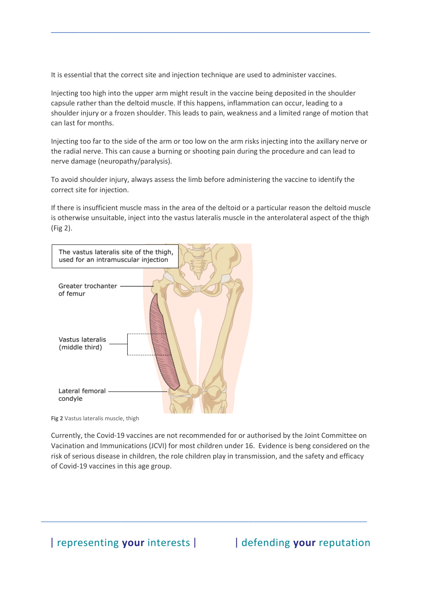It is essential that the correct site and injection technique are used to administer vaccines.

Injecting too high into the upper arm might result in the vaccine being deposited in the shoulder capsule rather than the deltoid muscle. If this happens, inflammation can occur, leading to a shoulder injury or a frozen shoulder. This leads to pain, weakness and a limited range of motion that can last for months.

**\_\_\_\_\_\_\_\_\_\_\_\_\_\_\_\_\_\_\_\_\_\_\_\_\_\_\_\_\_\_\_\_\_\_\_\_\_\_\_\_\_\_\_\_\_\_\_\_\_\_\_\_\_\_\_\_\_\_\_\_\_\_\_\_\_\_\_\_\_\_\_\_\_\_\_\_\_\_\_\_\_**

Injecting too far to the side of the arm or too low on the arm risks injecting into the axillary nerve or the radial nerve. This can cause a burning or shooting pain during the procedure and can lead to nerve damage (neuropathy/paralysis).

To avoid shoulder injury, always assess the limb before administering the vaccine to identify the correct site for injection.

If there is insufficient muscle mass in the area of the deltoid or a particular reason the deltoid muscle is otherwise unsuitable, inject into the vastus lateralis muscle in the anterolateral aspect of the thigh (Fig 2).

| The vastus lateralis site of the thigh,<br>used for an intramuscular injection<br>$\frac{1}{2}$ |
|-------------------------------------------------------------------------------------------------|
| Greater trochanter<br>of femur                                                                  |
| Vastus lateralis<br>(middle third)                                                              |
| Lateral femoral<br>condyle                                                                      |

**Fig 2** Vastus lateralis muscle, thigh

Currently, the Covid-19 vaccines are not recommended for or authorised by the Joint Committee on Vacination and Immunications (JCVI) for most children under 16. Evidence is beng considered on the risk of serious disease in children, the role children play in transmission, and the safety and efficacy of Covid-19 vaccines in this age group.

\_\_\_\_\_\_\_\_\_\_\_\_\_\_\_\_\_\_\_\_\_\_\_\_\_\_\_\_\_\_\_\_\_\_\_\_\_\_\_\_\_\_\_\_\_\_\_\_\_\_\_\_\_\_\_\_\_\_\_\_\_\_\_\_\_\_\_\_\_\_\_\_\_\_\_\_\_

| representing your interests | | | defending your reputation